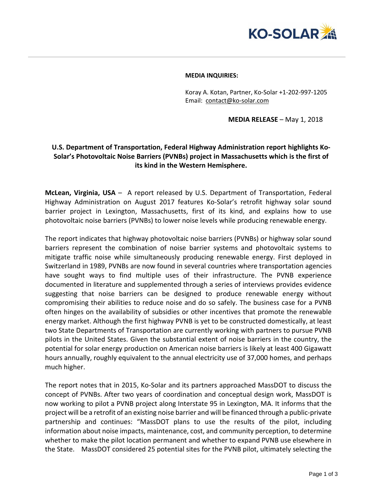

## **MEDIA INQUIRIES:**

Koray A. Kotan, Partner, Ko-Solar +1-202-997-1205 Email: [contact@ko-solar.com](mailto:contact@ko-solar.com)

**MEDIA RELEASE** – May 1, 2018

## **U.S. Department of Transportation, Federal Highway Administration report highlights Ko-Solar's Photovoltaic Noise Barriers (PVNBs) project in Massachusetts which is the first of its kind in the Western Hemisphere.**

**McLean, Virginia, USA** – A report released by U.S. Department of Transportation, Federal Highway Administration on August 2017 features Ko-Solar's retrofit highway solar sound barrier project in Lexington, Massachusetts, first of its kind, and explains how to use photovoltaic noise barriers (PVNBs) to lower noise levels while producing renewable energy.

The report indicates that highway photovoltaic noise barriers (PVNBs) or highway solar sound barriers represent the combination of noise barrier systems and photovoltaic systems to mitigate traffic noise while simultaneously producing renewable energy. First deployed in Switzerland in 1989, PVNBs are now found in several countries where transportation agencies have sought ways to find multiple uses of their infrastructure. The PVNB experience documented in literature and supplemented through a series of interviews provides evidence suggesting that noise barriers can be designed to produce renewable energy without compromising their abilities to reduce noise and do so safely. The business case for a PVNB often hinges on the availability of subsidies or other incentives that promote the renewable energy market. Although the first highway PVNB is yet to be constructed domestically, at least two State Departments of Transportation are currently working with partners to pursue PVNB pilots in the United States. Given the substantial extent of noise barriers in the country, the potential for solar energy production on American noise barriers is likely at least 400 Gigawatt hours annually, roughly equivalent to the annual electricity use of 37,000 homes, and perhaps much higher.

The report notes that in 2015, Ko-Solar and its partners approached MassDOT to discuss the concept of PVNBs. After two years of coordination and conceptual design work, MassDOT is now working to pilot a PVNB project along Interstate 95 in Lexington, MA. It informs that the project will be a retrofit of an existing noise barrier and will be financed through a public-private partnership and continues: "MassDOT plans to use the results of the pilot, including information about noise impacts, maintenance, cost, and community perception, to determine whether to make the pilot location permanent and whether to expand PVNB use elsewhere in the State. MassDOT considered 25 potential sites for the PVNB pilot, ultimately selecting the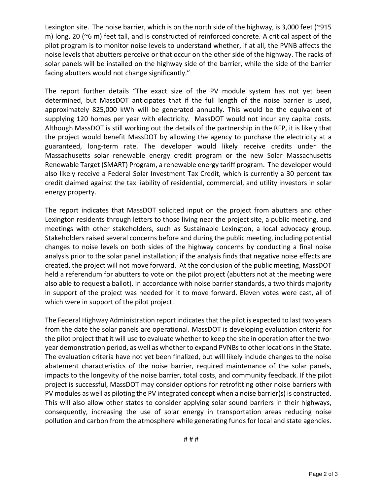Lexington site. The noise barrier, which is on the north side of the highway, is 3,000 feet (~915 m) long, 20 (~6 m) feet tall, and is constructed of reinforced concrete. A critical aspect of the pilot program is to monitor noise levels to understand whether, if at all, the PVNB affects the noise levels that abutters perceive or that occur on the other side of the highway. The racks of solar panels will be installed on the highway side of the barrier, while the side of the barrier facing abutters would not change significantly."

The report further details "The exact size of the PV module system has not yet been determined, but MassDOT anticipates that if the full length of the noise barrier is used, approximately 825,000 kWh will be generated annually. This would be the equivalent of supplying 120 homes per year with electricity. MassDOT would not incur any capital costs. Although MassDOT is still working out the details of the partnership in the RFP, it is likely that the project would benefit MassDOT by allowing the agency to purchase the electricity at a guaranteed, long-term rate. The developer would likely receive credits under the Massachusetts solar renewable energy credit program or the new Solar Massachusetts Renewable Target (SMART) Program, a renewable energy tariff program. The developer would also likely receive a Federal Solar Investment Tax Credit, which is currently a 30 percent tax credit claimed against the tax liability of residential, commercial, and utility investors in solar energy property.

The report indicates that MassDOT solicited input on the project from abutters and other Lexington residents through letters to those living near the project site, a public meeting, and meetings with other stakeholders, such as Sustainable Lexington, a local advocacy group. Stakeholders raised several concerns before and during the public meeting, including potential changes to noise levels on both sides of the highway concerns by conducting a final noise analysis prior to the solar panel installation; if the analysis finds that negative noise effects are created, the project will not move forward. At the conclusion of the public meeting, MassDOT held a referendum for abutters to vote on the pilot project (abutters not at the meeting were also able to request a ballot). In accordance with noise barrier standards, a two thirds majority in support of the project was needed for it to move forward. Eleven votes were cast, all of which were in support of the pilot project.

The Federal Highway Administration report indicates that the pilot is expected to last two years from the date the solar panels are operational. MassDOT is developing evaluation criteria for the pilot project that it will use to evaluate whether to keep the site in operation after the twoyear demonstration period, as well as whether to expand PVNBs to other locations in the State. The evaluation criteria have not yet been finalized, but will likely include changes to the noise abatement characteristics of the noise barrier, required maintenance of the solar panels, impacts to the longevity of the noise barrier, total costs, and community feedback. If the pilot project is successful, MassDOT may consider options for retrofitting other noise barriers with PV modules as well as piloting the PV integrated concept when a noise barrier(s) is constructed. This will also allow other states to consider applying solar sound barriers in their highways, consequently, increasing the use of solar energy in transportation areas reducing noise pollution and carbon from the atmosphere while generating funds for local and state agencies.